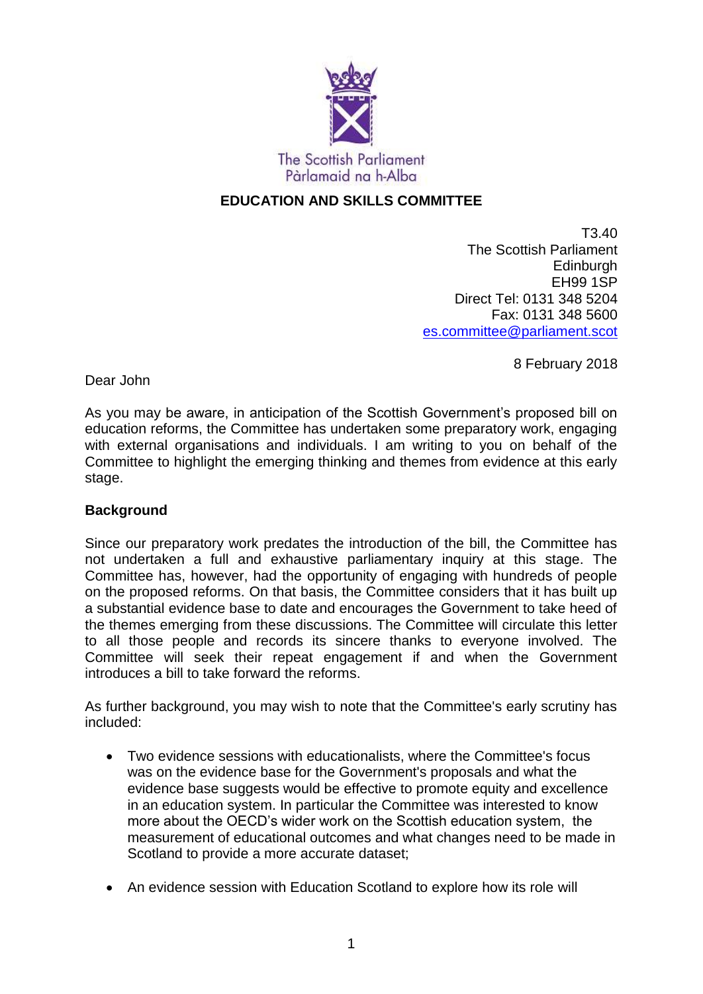

# **EDUCATION AND SKILLS COMMITTEE**

T3.40 The Scottish Parliament **Edinburgh** EH99 1SP Direct Tel: 0131 348 5204 Fax: 0131 348 5600 [es.committee@parliament.scot](mailto:es.committee@parliament.scot)

8 February 2018

Dear John

As you may be aware, in anticipation of the Scottish Government's proposed bill on education reforms, the Committee has undertaken some preparatory work, engaging with external organisations and individuals. I am writing to you on behalf of the Committee to highlight the emerging thinking and themes from evidence at this early stage.

## **Background**

Since our preparatory work predates the introduction of the bill, the Committee has not undertaken a full and exhaustive parliamentary inquiry at this stage. The Committee has, however, had the opportunity of engaging with hundreds of people on the proposed reforms. On that basis, the Committee considers that it has built up a substantial evidence base to date and encourages the Government to take heed of the themes emerging from these discussions. The Committee will circulate this letter to all those people and records its sincere thanks to everyone involved. The Committee will seek their repeat engagement if and when the Government introduces a bill to take forward the reforms.

As further background, you may wish to note that the Committee's early scrutiny has included:

- Two evidence sessions with educationalists, where the Committee's focus was on the evidence base for the Government's proposals and what the evidence base suggests would be effective to promote equity and excellence in an education system. In particular the Committee was interested to know more about the OECD's wider work on the Scottish education system, the measurement of educational outcomes and what changes need to be made in Scotland to provide a more accurate dataset;
- An evidence session with Education Scotland to explore how its role will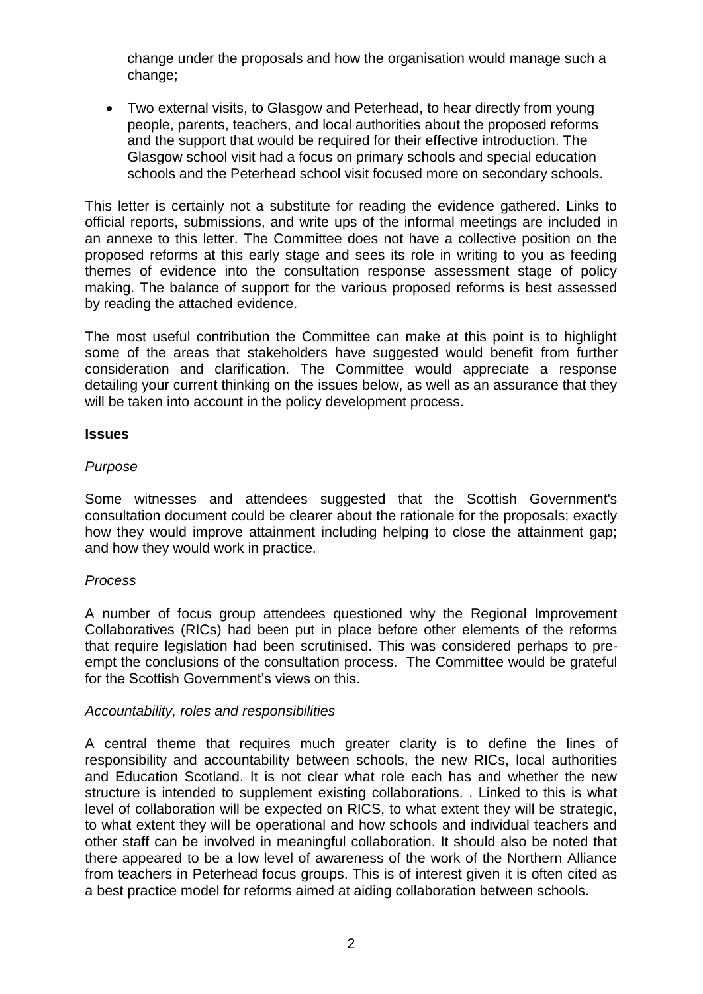change under the proposals and how the organisation would manage such a change;

 Two external visits, to Glasgow and Peterhead, to hear directly from young people, parents, teachers, and local authorities about the proposed reforms and the support that would be required for their effective introduction. The Glasgow school visit had a focus on primary schools and special education schools and the Peterhead school visit focused more on secondary schools.

This letter is certainly not a substitute for reading the evidence gathered. Links to official reports, submissions, and write ups of the informal meetings are included in an annexe to this letter. The Committee does not have a collective position on the proposed reforms at this early stage and sees its role in writing to you as feeding themes of evidence into the consultation response assessment stage of policy making. The balance of support for the various proposed reforms is best assessed by reading the attached evidence.

The most useful contribution the Committee can make at this point is to highlight some of the areas that stakeholders have suggested would benefit from further consideration and clarification. The Committee would appreciate a response detailing your current thinking on the issues below, as well as an assurance that they will be taken into account in the policy development process.

#### **Issues**

## *Purpose*

Some witnesses and attendees suggested that the Scottish Government's consultation document could be clearer about the rationale for the proposals; exactly how they would improve attainment including helping to close the attainment gap; and how they would work in practice.

## *Process*

A number of focus group attendees questioned why the Regional Improvement Collaboratives (RICs) had been put in place before other elements of the reforms that require legislation had been scrutinised. This was considered perhaps to preempt the conclusions of the consultation process. The Committee would be grateful for the Scottish Government's views on this.

## *Accountability, roles and responsibilities*

A central theme that requires much greater clarity is to define the lines of responsibility and accountability between schools, the new RICs, local authorities and Education Scotland. It is not clear what role each has and whether the new structure is intended to supplement existing collaborations. . Linked to this is what level of collaboration will be expected on RICS, to what extent they will be strategic, to what extent they will be operational and how schools and individual teachers and other staff can be involved in meaningful collaboration. It should also be noted that there appeared to be a low level of awareness of the work of the Northern Alliance from teachers in Peterhead focus groups. This is of interest given it is often cited as a best practice model for reforms aimed at aiding collaboration between schools.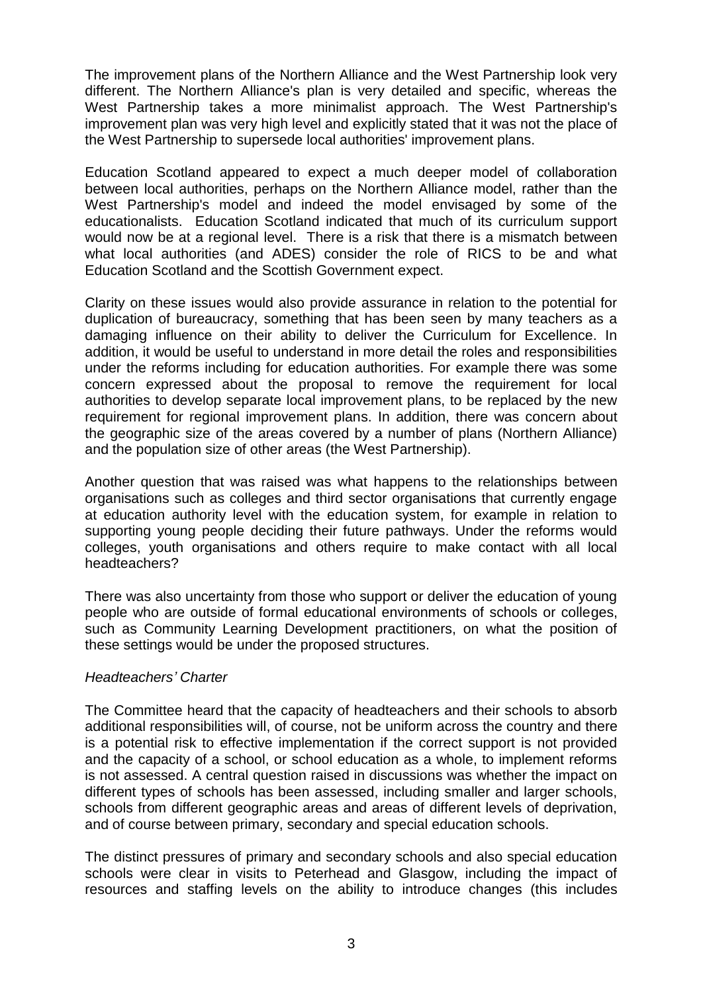The improvement plans of the Northern Alliance and the West Partnership look very different. The Northern Alliance's plan is very detailed and specific, whereas the West Partnership takes a more minimalist approach. The West Partnership's improvement plan was very high level and explicitly stated that it was not the place of the West Partnership to supersede local authorities' improvement plans.

Education Scotland appeared to expect a much deeper model of collaboration between local authorities, perhaps on the Northern Alliance model, rather than the West Partnership's model and indeed the model envisaged by some of the educationalists. Education Scotland indicated that much of its curriculum support would now be at a regional level. There is a risk that there is a mismatch between what local authorities (and ADES) consider the role of RICS to be and what Education Scotland and the Scottish Government expect.

Clarity on these issues would also provide assurance in relation to the potential for duplication of bureaucracy, something that has been seen by many teachers as a damaging influence on their ability to deliver the Curriculum for Excellence. In addition, it would be useful to understand in more detail the roles and responsibilities under the reforms including for education authorities. For example there was some concern expressed about the proposal to remove the requirement for local authorities to develop separate local improvement plans, to be replaced by the new requirement for regional improvement plans. In addition, there was concern about the geographic size of the areas covered by a number of plans (Northern Alliance) and the population size of other areas (the West Partnership).

Another question that was raised was what happens to the relationships between organisations such as colleges and third sector organisations that currently engage at education authority level with the education system, for example in relation to supporting young people deciding their future pathways. Under the reforms would colleges, youth organisations and others require to make contact with all local headteachers?

There was also uncertainty from those who support or deliver the education of young people who are outside of formal educational environments of schools or colleges, such as Community Learning Development practitioners, on what the position of these settings would be under the proposed structures.

## *Headteachers' Charter*

The Committee heard that the capacity of headteachers and their schools to absorb additional responsibilities will, of course, not be uniform across the country and there is a potential risk to effective implementation if the correct support is not provided and the capacity of a school, or school education as a whole, to implement reforms is not assessed. A central question raised in discussions was whether the impact on different types of schools has been assessed, including smaller and larger schools, schools from different geographic areas and areas of different levels of deprivation, and of course between primary, secondary and special education schools.

The distinct pressures of primary and secondary schools and also special education schools were clear in visits to Peterhead and Glasgow, including the impact of resources and staffing levels on the ability to introduce changes (this includes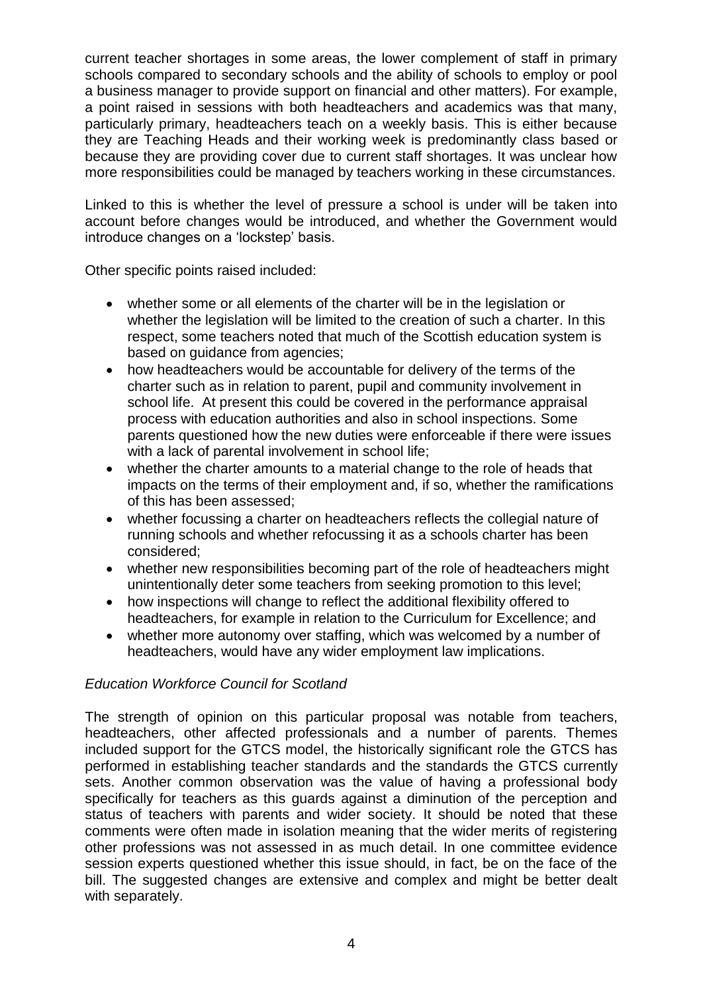current teacher shortages in some areas, the lower complement of staff in primary schools compared to secondary schools and the ability of schools to employ or pool a business manager to provide support on financial and other matters). For example, a point raised in sessions with both headteachers and academics was that many, particularly primary, headteachers teach on a weekly basis. This is either because they are Teaching Heads and their working week is predominantly class based or because they are providing cover due to current staff shortages. It was unclear how more responsibilities could be managed by teachers working in these circumstances.

Linked to this is whether the level of pressure a school is under will be taken into account before changes would be introduced, and whether the Government would introduce changes on a 'lockstep' basis.

Other specific points raised included:

- whether some or all elements of the charter will be in the legislation or whether the legislation will be limited to the creation of such a charter. In this respect, some teachers noted that much of the Scottish education system is based on guidance from agencies;
- how headteachers would be accountable for delivery of the terms of the charter such as in relation to parent, pupil and community involvement in school life. At present this could be covered in the performance appraisal process with education authorities and also in school inspections. Some parents questioned how the new duties were enforceable if there were issues with a lack of parental involvement in school life;
- whether the charter amounts to a material change to the role of heads that impacts on the terms of their employment and, if so, whether the ramifications of this has been assessed;
- whether focussing a charter on headteachers reflects the collegial nature of running schools and whether refocussing it as a schools charter has been considered;
- whether new responsibilities becoming part of the role of headteachers might unintentionally deter some teachers from seeking promotion to this level;
- how inspections will change to reflect the additional flexibility offered to headteachers, for example in relation to the Curriculum for Excellence; and
- whether more autonomy over staffing, which was welcomed by a number of headteachers, would have any wider employment law implications.

## *Education Workforce Council for Scotland*

The strength of opinion on this particular proposal was notable from teachers, headteachers, other affected professionals and a number of parents. Themes included support for the GTCS model, the historically significant role the GTCS has performed in establishing teacher standards and the standards the GTCS currently sets. Another common observation was the value of having a professional body specifically for teachers as this guards against a diminution of the perception and status of teachers with parents and wider society. It should be noted that these comments were often made in isolation meaning that the wider merits of registering other professions was not assessed in as much detail. In one committee evidence session experts questioned whether this issue should, in fact, be on the face of the bill. The suggested changes are extensive and complex and might be better dealt with separately.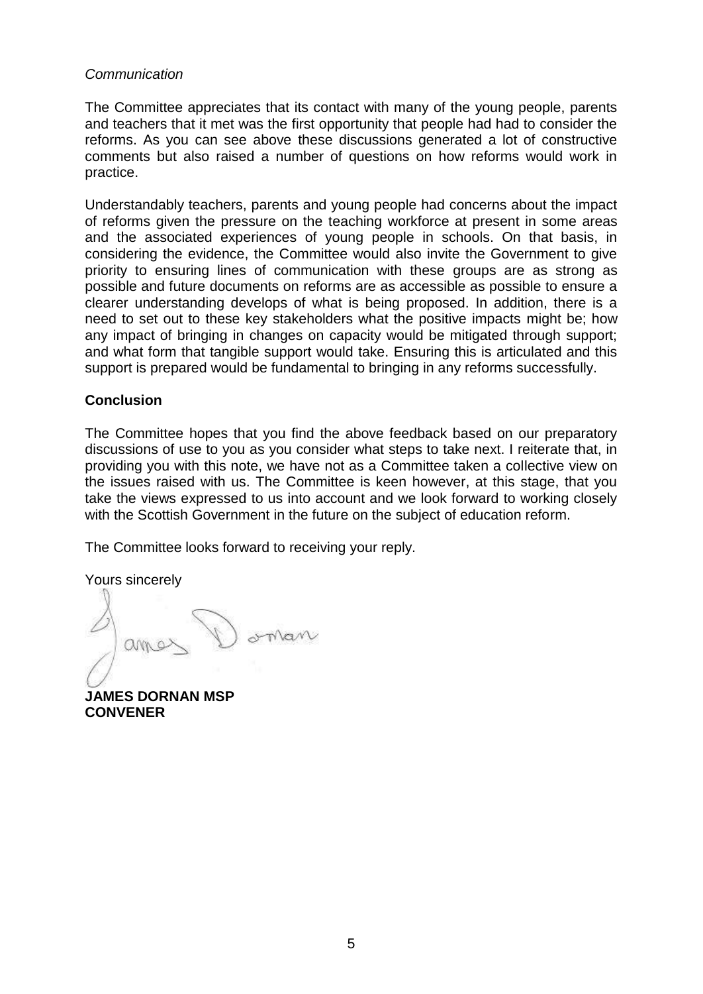## *Communication*

The Committee appreciates that its contact with many of the young people, parents and teachers that it met was the first opportunity that people had had to consider the reforms. As you can see above these discussions generated a lot of constructive comments but also raised a number of questions on how reforms would work in practice.

Understandably teachers, parents and young people had concerns about the impact of reforms given the pressure on the teaching workforce at present in some areas and the associated experiences of young people in schools. On that basis, in considering the evidence, the Committee would also invite the Government to give priority to ensuring lines of communication with these groups are as strong as possible and future documents on reforms are as accessible as possible to ensure a clearer understanding develops of what is being proposed. In addition, there is a need to set out to these key stakeholders what the positive impacts might be; how any impact of bringing in changes on capacity would be mitigated through support; and what form that tangible support would take. Ensuring this is articulated and this support is prepared would be fundamental to bringing in any reforms successfully.

## **Conclusion**

The Committee hopes that you find the above feedback based on our preparatory discussions of use to you as you consider what steps to take next. I reiterate that, in providing you with this note, we have not as a Committee taken a collective view on the issues raised with us. The Committee is keen however, at this stage, that you take the views expressed to us into account and we look forward to working closely with the Scottish Government in the future on the subject of education reform.

The Committee looks forward to receiving your reply.

Yours sincerely

oman

**JAMES DORNAN MSP CONVENER**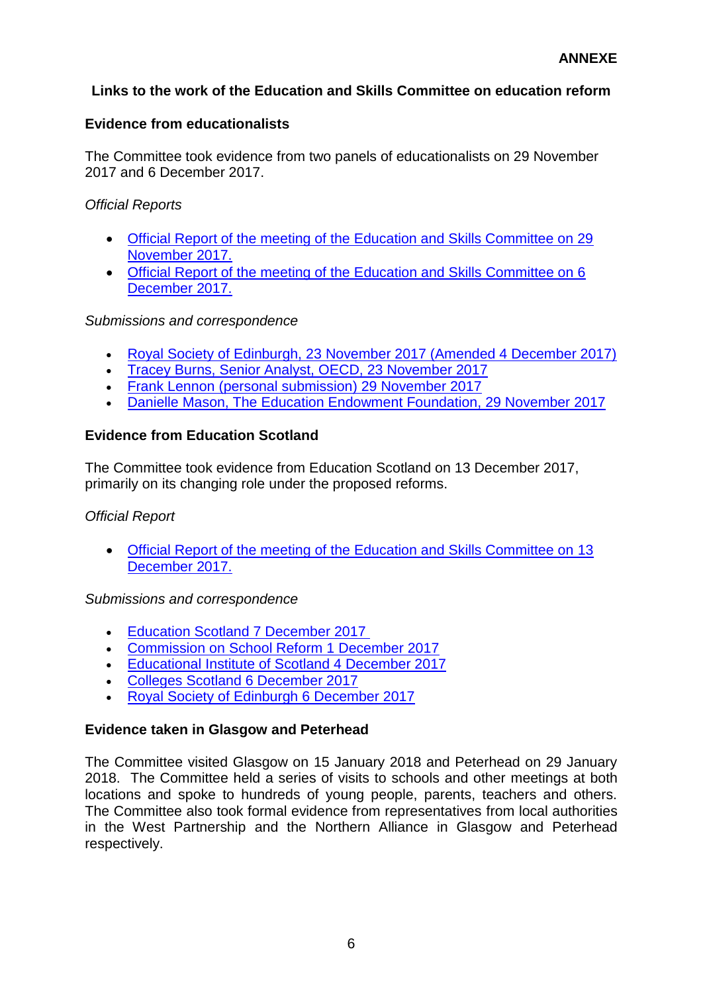# **Links to the work of the Education and Skills Committee on education reform**

## **Evidence from educationalists**

The Committee took evidence from two panels of educationalists on 29 November 2017 and 6 December 2017.

## *Official Reports*

- [Official Report of the meeting of the Education and Skills Committee on 29](http://www.parliament.scot/parliamentarybusiness/report.aspx?r=11239&mode=pdf)  [November 2017.](http://www.parliament.scot/parliamentarybusiness/report.aspx?r=11239&mode=pdf)
- [Official Report of the meeting of the Education and Skills Committee on 6](http://www.parliament.scot/parliamentarybusiness/report.aspx?r=11256&mode=pdf)  [December 2017.](http://www.parliament.scot/parliamentarybusiness/report.aspx?r=11256&mode=pdf)

## *Submissions and correspondence*

- [Royal Society of Edinburgh, 23 November 2017 \(Amended 4 December 2017\)](http://www.parliament.scot/S5_Education/Inquiries/20171123IN.RSE_Reforms_Amended.pdf)
- [Tracey Burns, Senior Analyst, OECD, 23 November 2017](http://www.parliament.scot/S5_Education/Inquiries/20171123IN.OECD_Reforms.pdf)
- [Frank Lennon \(personal submission\)](http://www.parliament.scot/S5_Education/Inquiries/20171129FrankLennon.EdReforms.pdf) 29 November 2017
- [Danielle Mason, The Education Endowment Foundation, 29 November 2017](http://www.parliament.scot/S5_Education/Inquiries/20171129EEF.EdReforms.pdf)

## **Evidence from Education Scotland**

The Committee took evidence from Education Scotland on 13 December 2017, primarily on its changing role under the proposed reforms.

## *Official Report*

 [Official Report of the meeting of the Education and Skills Committee on 13](http://www.parliament.scot/parliamentarybusiness/report.aspx?r=11268&mode=pdf)  [December 2017.](http://www.parliament.scot/parliamentarybusiness/report.aspx?r=11268&mode=pdf)

## *Submissions and correspondence*

- **[Education Scotland 7 December 2017](http://www.parliament.scot/S5_Education/Inquiries/20171207Education_Scotland_2017_Dec_Sub_FINAL.pdf)**
- [Commission on School Reform 1 December 2017](http://www.parliament.scot/S5_Education/Inquiries/20171201Commission_on_School_Reform_submission_re_Education_Scotland.pdf)
- [Educational Institute of Scotland](http://www.parliament.scot/S5_Education/Inquiries/20131204ES.EIS_EdScot.pdf) 4 December 2017
- [Colleges Scotland 6 December 2017](http://www.parliament.scot/S5_Education/Inquiries/20171206Colleges_Scotland_Sub_on_Education_Scotland.pdf)
- [Royal Society of Edinburgh](http://www.parliament.scot/S5_Education/Inquiries/20171206RSE_Education_Scotland_final.pdf) 6 December 2017

## **Evidence taken in Glasgow and Peterhead**

The Committee visited Glasgow on 15 January 2018 and Peterhead on 29 January 2018. The Committee held a series of visits to schools and other meetings at both locations and spoke to hundreds of young people, parents, teachers and others. The Committee also took formal evidence from representatives from local authorities in the West Partnership and the Northern Alliance in Glasgow and Peterhead respectively.